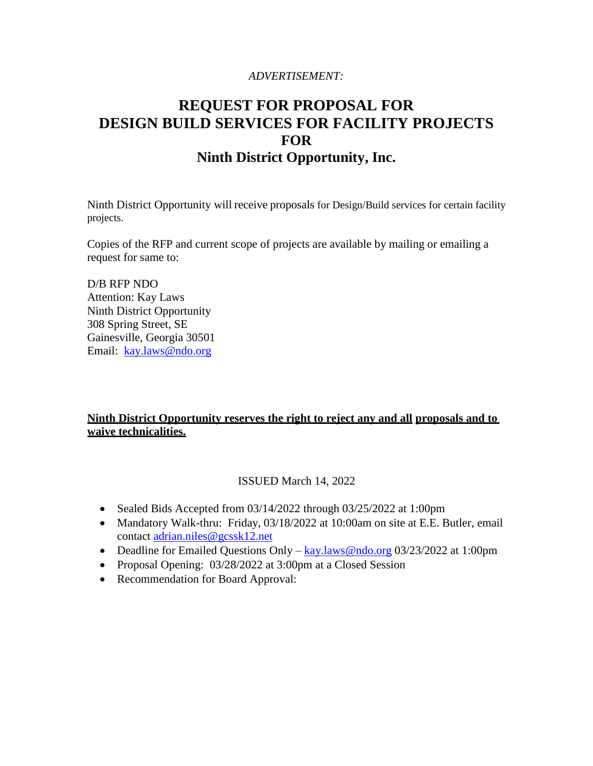# *ADVERTISEMENT:*

# **REQUEST FOR PROPOSAL FOR DESIGN BUILD SERVICES FOR FACILITY PROJECTS FOR Ninth District Opportunity, Inc.**

Ninth District Opportunity will receive proposals for Design/Build services for certain facility projects.

Copies of the RFP and current scope of projects are available by mailing or emailing a request for same to:

D/B RFP NDO Attention: Kay Laws Ninth District Opportunity 308 Spring Street, SE Gainesville, Georgia 30501 Email: [kay.laws@ndo.org](mailto:kay.laws@ndo.org)

# **Ninth District Opportunity reserves the right to reject any and all proposals and to waive technicalities.**

# ISSUED March 14, 2022

- Sealed Bids Accepted from 03/14/2022 through 03/25/2022 at 1:00pm
- Mandatory Walk-thru: Friday, 03/18/2022 at 10:00am on site at E.E. Butler, email contact [adrian.niles@gcssk12.net](mailto:adrian.niles@gcssk12.net)
- Deadline for Emailed Questions Only [kay.](mailto:kay)laws@ndo.org 03/23/2022 at 1:00pm
- Proposal Opening: 03/28/2022 at 3:00pm at a Closed Session
- Recommendation for Board Approval: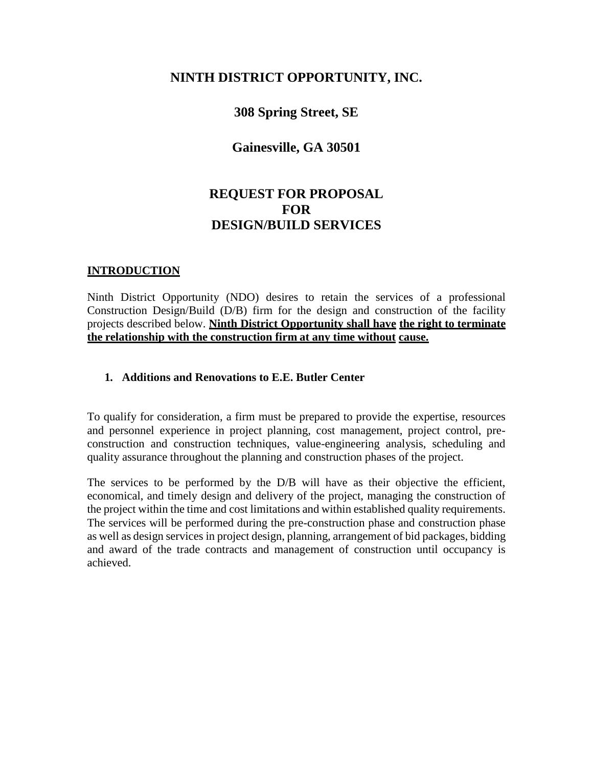# **NINTH DISTRICT OPPORTUNITY, INC.**

# **308 Spring Street, SE**

# **Gainesville, GA 30501**

# **REQUEST FOR PROPOSAL FOR DESIGN/BUILD SERVICES**

#### **INTRODUCTION**

Ninth District Opportunity (NDO) desires to retain the services of a professional Construction Design/Build (D/B) firm for the design and construction of the facility projects described below. **Ninth District Opportunity shall have the right to terminate the relationship with the construction firm at any time without cause.**

#### **1. Additions and Renovations to E.E. Butler Center**

To qualify for consideration, a firm must be prepared to provide the expertise, resources and personnel experience in project planning, cost management, project control, preconstruction and construction techniques, value-engineering analysis, scheduling and quality assurance throughout the planning and construction phases of the project.

The services to be performed by the D/B will have as their objective the efficient, economical, and timely design and delivery of the project, managing the construction of the project within the time and cost limitations and within established quality requirements. The services will be performed during the pre-construction phase and construction phase as well as design services in project design, planning, arrangement of bid packages, bidding and award of the trade contracts and management of construction until occupancy is achieved.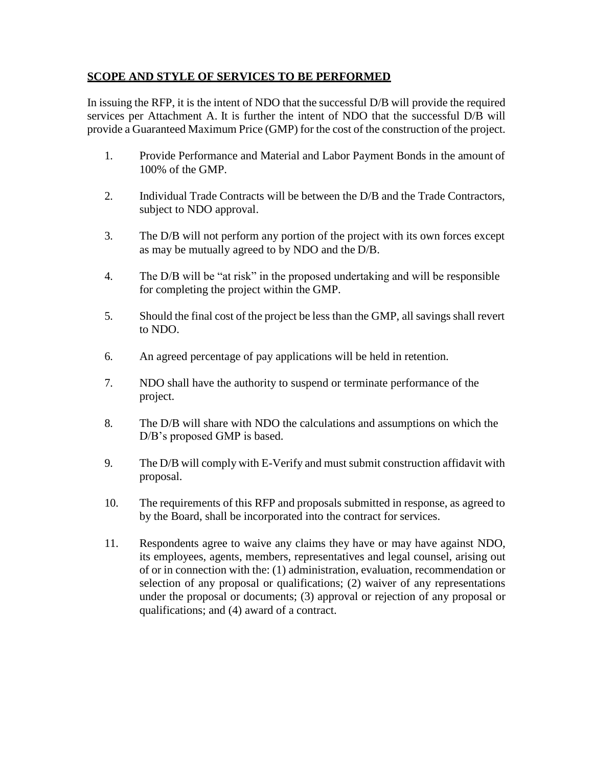# **SCOPE AND STYLE OF SERVICES TO BE PERFORMED**

In issuing the RFP, it is the intent of NDO that the successful D/B will provide the required services per Attachment A. It is further the intent of NDO that the successful D/B will provide a Guaranteed Maximum Price (GMP) for the cost of the construction of the project.

- 1. Provide Performance and Material and Labor Payment Bonds in the amount of 100% of the GMP.
- 2. Individual Trade Contracts will be between the D/B and the Trade Contractors, subject to NDO approval.
- 3. The D/B will not perform any portion of the project with its own forces except as may be mutually agreed to by NDO and the D/B.
- 4. The D/B will be "at risk" in the proposed undertaking and will be responsible for completing the project within the GMP.
- 5. Should the final cost of the project be less than the GMP, all savings shall revert to NDO.
- 6. An agreed percentage of pay applications will be held in retention.
- 7. NDO shall have the authority to suspend or terminate performance of the project.
- 8. The D/B will share with NDO the calculations and assumptions on which the D/B's proposed GMP is based.
- 9. The D/B will comply with E-Verify and must submit construction affidavit with proposal.
- 10. The requirements of this RFP and proposals submitted in response, as agreed to by the Board, shall be incorporated into the contract for services.
- 11. Respondents agree to waive any claims they have or may have against NDO, its employees, agents, members, representatives and legal counsel, arising out of or in connection with the: (1) administration, evaluation, recommendation or selection of any proposal or qualifications; (2) waiver of any representations under the proposal or documents; (3) approval or rejection of any proposal or qualifications; and (4) award of a contract.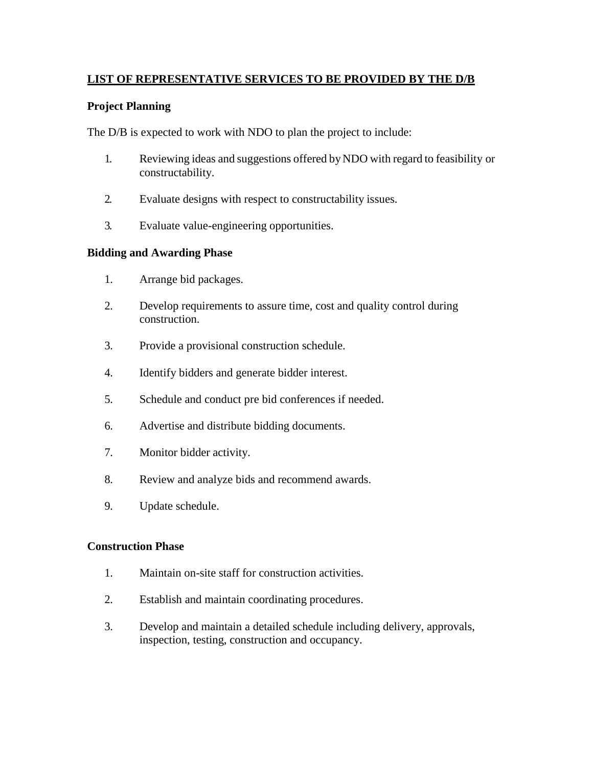# **LIST OF REPRESENTATIVE SERVICES TO BE PROVIDED BY THE D/B**

#### **Project Planning**

The D/B is expected to work with NDO to plan the project to include:

- 1. Reviewing ideas and suggestions offered byNDO with regard to feasibility or constructability.
- 2. Evaluate designs with respect to constructability issues.
- 3. Evaluate value-engineering opportunities.

#### **Bidding and Awarding Phase**

- 1. Arrange bid packages.
- 2. Develop requirements to assure time, cost and quality control during construction.
- 3. Provide a provisional construction schedule.
- 4. Identify bidders and generate bidder interest.
- 5. Schedule and conduct pre bid conferences if needed.
- 6. Advertise and distribute bidding documents.
- 7. Monitor bidder activity.
- 8. Review and analyze bids and recommend awards.
- 9. Update schedule.

#### **Construction Phase**

- 1. Maintain on-site staff for construction activities.
- 2. Establish and maintain coordinating procedures.
- 3. Develop and maintain a detailed schedule including delivery, approvals, inspection, testing, construction and occupancy.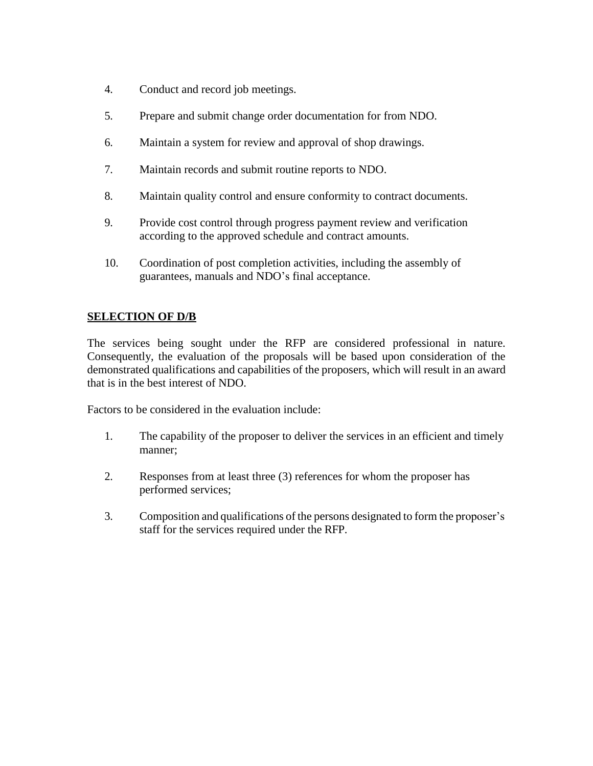- 4. Conduct and record job meetings.
- 5. Prepare and submit change order documentation for from NDO.
- 6. Maintain a system for review and approval of shop drawings.
- 7. Maintain records and submit routine reports to NDO.
- 8. Maintain quality control and ensure conformity to contract documents.
- 9. Provide cost control through progress payment review and verification according to the approved schedule and contract amounts.
- 10. Coordination of post completion activities, including the assembly of guarantees, manuals and NDO's final acceptance.

# **SELECTION OF D/B**

The services being sought under the RFP are considered professional in nature. Consequently, the evaluation of the proposals will be based upon consideration of the demonstrated qualifications and capabilities of the proposers, which will result in an award that is in the best interest of NDO.

Factors to be considered in the evaluation include:

- 1. The capability of the proposer to deliver the services in an efficient and timely manner;
- 2. Responses from at least three (3) references for whom the proposer has performed services;
- 3. Composition and qualifications of the persons designated to form the proposer's staff for the services required under the RFP.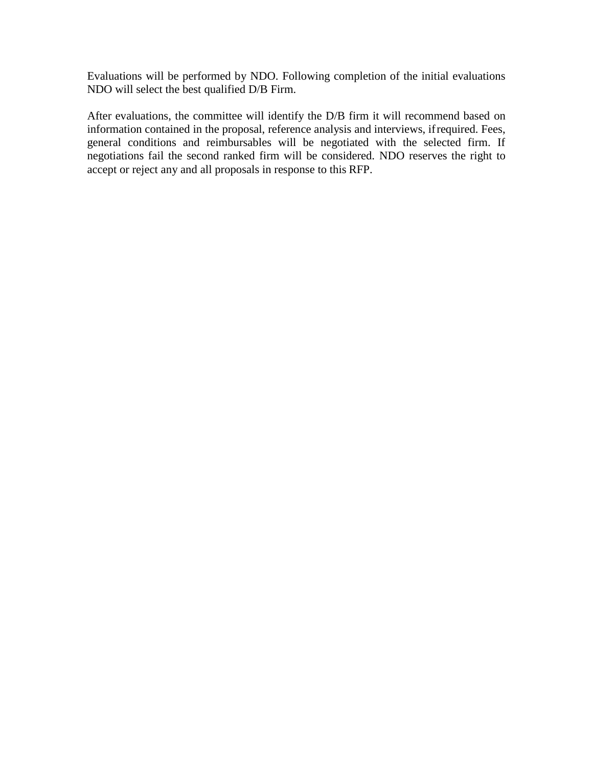Evaluations will be performed by NDO. Following completion of the initial evaluations NDO will select the best qualified D/B Firm.

After evaluations, the committee will identify the D/B firm it will recommend based on information contained in the proposal, reference analysis and interviews, ifrequired. Fees, general conditions and reimbursables will be negotiated with the selected firm. If negotiations fail the second ranked firm will be considered. NDO reserves the right to accept or reject any and all proposals in response to this RFP.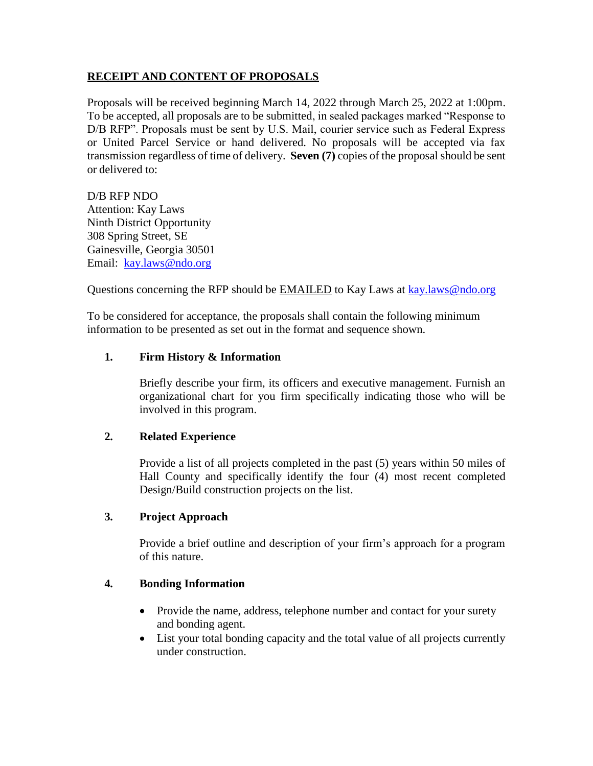#### **RECEIPT AND CONTENT OF PROPOSALS**

Proposals will be received beginning March 14, 2022 through March 25, 2022 at 1:00pm. To be accepted, all proposals are to be submitted, in sealed packages marked "Response to D/B RFP". Proposals must be sent by U.S. Mail, courier service such as Federal Express or United Parcel Service or hand delivered. No proposals will be accepted via fax transmission regardless of time of delivery. **Seven (7)** copies of the proposal should be sent or delivered to:

D/B RFP NDO Attention: Kay Laws Ninth District Opportunity 308 Spring Street, SE Gainesville, Georgia 30501 Email: [kay.laws@ndo.org](mailto:kay.laws@ndo.org)

Questions concerning the RFP should be **EMAILED** to Kay Laws at **kay.laws@ndo.org** 

To be considered for acceptance, the proposals shall contain the following minimum information to be presented as set out in the format and sequence shown.

#### **1. Firm History & Information**

Briefly describe your firm, its officers and executive management. Furnish an organizational chart for you firm specifically indicating those who will be involved in this program.

# **2. Related Experience**

Provide a list of all projects completed in the past (5) years within 50 miles of Hall County and specifically identify the four (4) most recent completed Design/Build construction projects on the list.

#### **3. Project Approach**

Provide a brief outline and description of your firm's approach for a program of this nature.

# **4. Bonding Information**

- Provide the name, address, telephone number and contact for your surety and bonding agent.
- List your total bonding capacity and the total value of all projects currently under construction.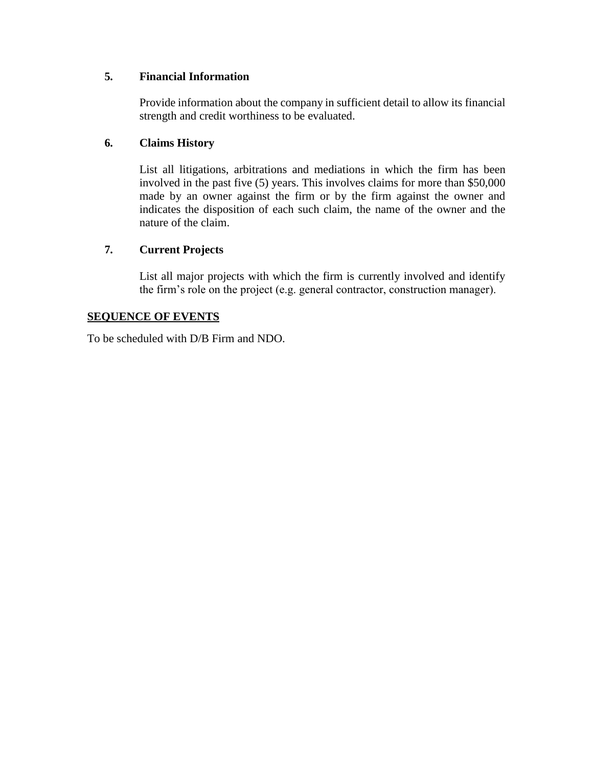# **5. Financial Information**

Provide information about the company in sufficient detail to allow its financial strength and credit worthiness to be evaluated.

#### **6. Claims History**

List all litigations, arbitrations and mediations in which the firm has been involved in the past five (5) years. This involves claims for more than \$50,000 made by an owner against the firm or by the firm against the owner and indicates the disposition of each such claim, the name of the owner and the nature of the claim.

#### **7. Current Projects**

List all major projects with which the firm is currently involved and identify the firm's role on the project (e.g. general contractor, construction manager).

#### **SEQUENCE OF EVENTS**

To be scheduled with D/B Firm and NDO.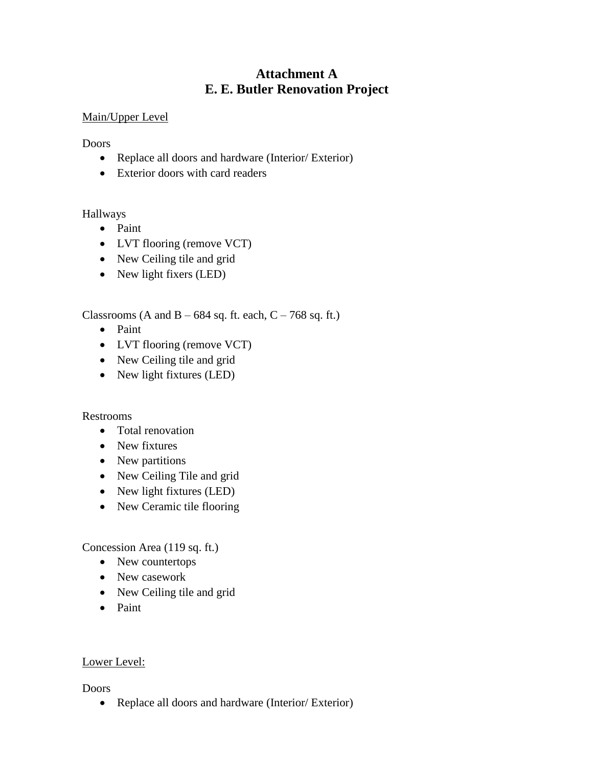# **Attachment A E. E. Butler Renovation Project**

# Main/Upper Level

Doors

- Replace all doors and hardware (Interior/ Exterior)
- Exterior doors with card readers

Hallways

- Paint
- LVT flooring (remove VCT)
- New Ceiling tile and grid
- New light fixers (LED)

Classrooms (A and B –  $684$  sq. ft. each, C – 768 sq. ft.)

- Paint
- LVT flooring (remove VCT)
- New Ceiling tile and grid
- New light fixtures (LED)

#### Restrooms

- Total renovation
- New fixtures
- New partitions
- New Ceiling Tile and grid
- New light fixtures (LED)
- New Ceramic tile flooring

Concession Area (119 sq. ft.)

- New countertops
- New casework
- New Ceiling tile and grid
- Paint

# Lower Level:

Doors

• Replace all doors and hardware (Interior/ Exterior)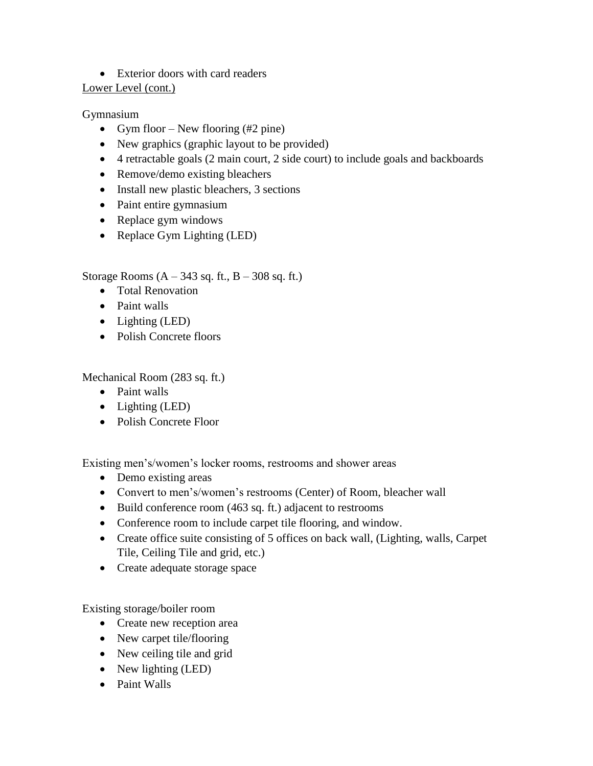# Exterior doors with card readers

#### Lower Level (cont.)

# Gymnasium

- Gym floor New flooring  $(\#2 \text{ pine})$
- New graphics (graphic layout to be provided)
- 4 retractable goals (2 main court, 2 side court) to include goals and backboards
- Remove/demo existing bleachers
- Install new plastic bleachers, 3 sections
- Paint entire gymnasium
- Replace gym windows
- Replace Gym Lighting (LED)

# Storage Rooms  $(A - 343$  sq. ft.,  $B - 308$  sq. ft.)

- Total Renovation
- Paint walls
- Lighting (LED)
- Polish Concrete floors

Mechanical Room (283 sq. ft.)

- Paint walls
- Lighting (LED)
- Polish Concrete Floor

Existing men's/women's locker rooms, restrooms and shower areas

- Demo existing areas
- Convert to men's/women's restrooms (Center) of Room, bleacher wall
- $\bullet$  Build conference room (463 sq. ft.) adjacent to restrooms
- Conference room to include carpet tile flooring, and window.
- Create office suite consisting of 5 offices on back wall, (Lighting, walls, Carpet Tile, Ceiling Tile and grid, etc.)
- Create adequate storage space

Existing storage/boiler room

- Create new reception area
- New carpet tile/flooring
- New ceiling tile and grid
- New lighting (LED)
- Paint Walls